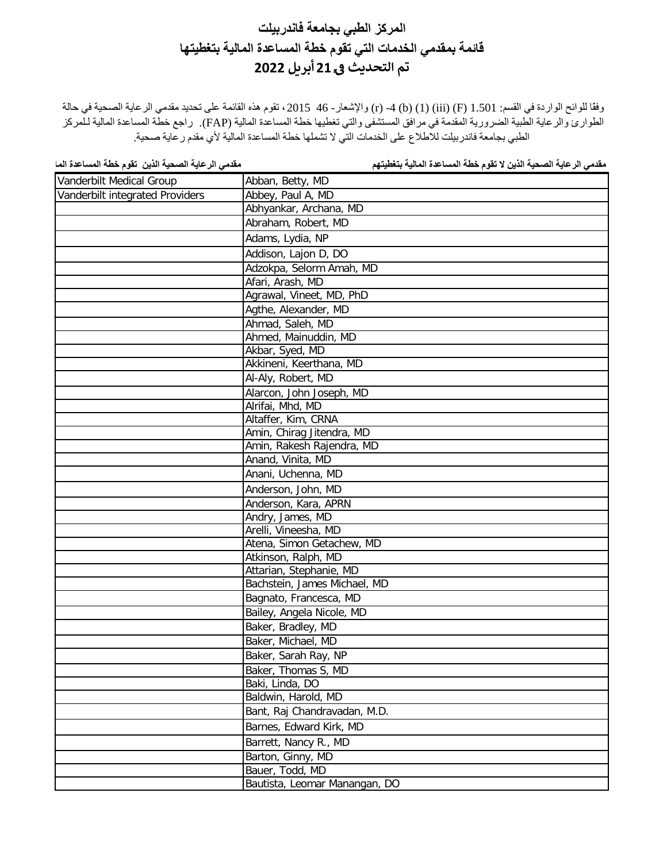وفقًا للوائح الواردة في القسم: 1.501 (F) (1) (iii) (f) 4 - (r) والإشعار - 46 ـ 2015 ، تقوم هذه القائمة على تحديد مقدمي الرعاية الصحية في حالة الطوارئ والرعایة الطبیة الضروریة المقدمة في مرافق المستشفى والتي تغطیھا خطة المساعدة المالیة (FAP(. راجع خطة المساعدة المالیة لـلمركز الطبي بجامعة فاندربیلت للاطلاع على الخدمات التي لا تشملھا خطة المساعدة المالیة لأي مقدم رعایة صحیة.

| Vanderbilt Medical Group        | Abban, Betty, MD              |
|---------------------------------|-------------------------------|
| Vanderbilt integrated Providers | Abbey, Paul A, MD             |
|                                 | Abhyankar, Archana, MD        |
|                                 | Abraham, Robert, MD           |
|                                 | Adams, Lydia, NP              |
|                                 | Addison, Lajon D, DO          |
|                                 | Adzokpa, Selorm Amah, MD      |
|                                 | Afari, Arash, MD              |
|                                 | Agrawal, Vineet, MD, PhD      |
|                                 | Agthe, Alexander, MD          |
|                                 | Ahmad, Saleh, MD              |
|                                 | Ahmed, Mainuddin, MD          |
|                                 | Akbar, Syed, MD               |
|                                 | Akkineni, Keerthana, MD       |
|                                 | Al-Aly, Robert, MD            |
|                                 | Alarcon, John Joseph, MD      |
|                                 | Alrifai, Mhd, MD              |
|                                 | Altaffer, Kim, CRNA           |
|                                 | Amin, Chirag Jitendra, MD     |
|                                 | Amin, Rakesh Rajendra, MD     |
|                                 | Anand, Vinita, MD             |
|                                 | Anani, Uchenna, MD            |
|                                 | Anderson, John, MD            |
|                                 | Anderson, Kara, APRN          |
|                                 | Andry, James, MD              |
|                                 | Arelli, Vineesha, MD          |
|                                 | Atena, Simon Getachew, MD     |
|                                 | Atkinson, Ralph, MD           |
|                                 | Attarian, Stephanie, MD       |
|                                 | Bachstein, James Michael, MD  |
|                                 | Bagnato, Francesca, MD        |
|                                 | Bailey, Angela Nicole, MD     |
|                                 | Baker, Bradley, MD            |
|                                 | Baker, Michael, MD            |
|                                 | Baker, Sarah Ray, NP          |
|                                 | Baker, Thomas S, MD           |
|                                 | Baki, Linda, DO               |
|                                 | Baldwin, Harold, MD           |
|                                 | Bant, Raj Chandravadan, M.D.  |
|                                 | Barnes, Edward Kirk, MD       |
|                                 | Barrett, Nancy R., MD         |
|                                 | Barton, Ginny, MD             |
|                                 | Bauer, Todd, MD               |
|                                 | Bautista, Leomar Manangan, DO |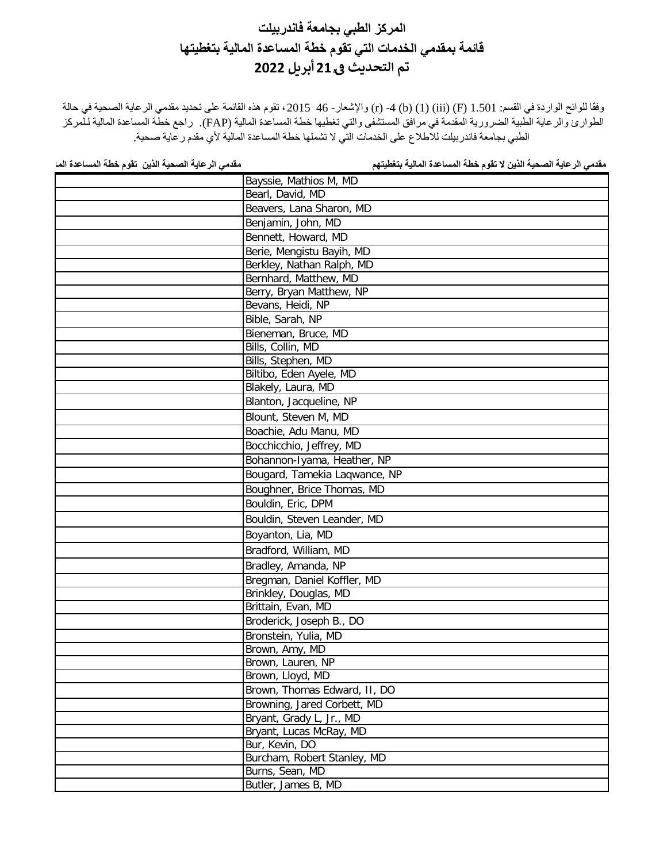وفقًا للوائح الواردة في القسم: 1.501 (F) (1) (iii) (f) 4 - (r) والإشعار - 46 ـ 2015 ، تقوم هذه القائمة على تحديد مقدمي الرعاية الصحية في حالة الطوارئ والرعایة الطبیة الضروریة المقدمة في مرافق المستشفى والتي تغطیھا خطة المساعدة المالیة (FAP(. راجع خطة المساعدة المالیة لـلمركز الطبي بجامعة فاندربیلت للاطلاع على الخدمات التي لا تشملھا خطة المساعدة المالیة لأي مقدم رعایة صحیة.

| Bayssie, Mathios M, MD        |
|-------------------------------|
| Bearl, David, MD              |
| Beavers, Lana Sharon, MD      |
| Benjamin, John, MD            |
| Bennett, Howard, MD           |
| Berie, Mengistu Bayih, MD     |
| Berkley, Nathan Ralph, MD     |
| Bernhard, Matthew, MD         |
| Berry, Bryan Matthew, NP      |
| Bevans, Heidi, NP             |
| Bible, Sarah, NP              |
| Bieneman, Bruce, MD           |
| Bills, Collin, MD             |
| Bills, Stephen, MD            |
| Biltibo, Eden Ayele, MD       |
| Blakely, Laura, MD            |
| Blanton, Jacqueline, NP       |
| Blount, Steven M, MD          |
| Boachie, Adu Manu, MD         |
| Bocchicchio, Jeffrey, MD      |
| Bohannon-Iyama, Heather, NP   |
| Bougard, Tamekia Laqwance, NP |
| Boughner, Brice Thomas, MD    |
| Bouldin, Eric, DPM            |
| Bouldin, Steven Leander, MD   |
| Boyanton, Lia, MD             |
| Bradford, William, MD         |
| Bradley, Amanda, NP           |
| Bregman, Daniel Koffler, MD   |
| Brinkley, Douglas, MD         |
| Brittain, Evan, MD            |
| Broderick, Joseph B., DO      |
| Bronstein, Yulia, MD          |
| Brown, Amy, MD                |
| Brown, Lauren, NP             |
| Brown, Lloyd, MD              |
| Brown, Thomas Edward, II, DO  |
| Browning, Jared Corbett, MD   |
| Bryant, Grady L, Jr., MD      |
| Bryant, Lucas McRay, MD       |
| Bur, Kevin, DO                |
| Burcham, Robert Stanley, MD   |
| Burns, Sean, MD               |
| Butler, James B, MD           |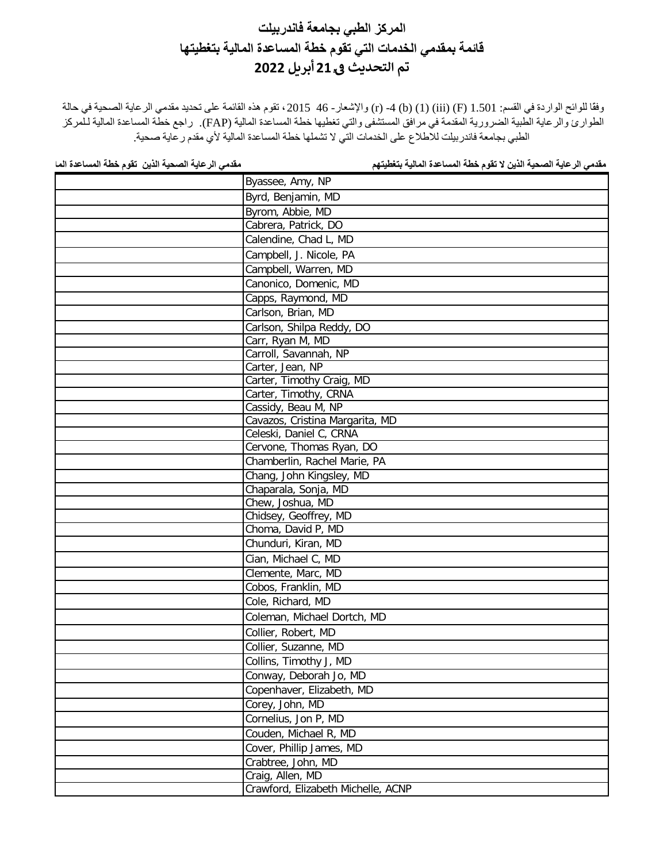وفقًا للوائح الواردة في القسم: 1.501 (F) (1) (iii) (f) 4 - (r) والإشعار - 46 ـ 2015 ، تقوم هذه القائمة على تحديد مقدمي الرعاية الصحية في حالة الطوارئ والرعایة الطبیة الضروریة المقدمة في مرافق المستشفى والتي تغطیھا خطة المساعدة المالیة (FAP(. راجع خطة المساعدة المالیة لـلمركز الطبي بجامعة فاندربیلت للاطلاع على الخدمات التي لا تشملھا خطة المساعدة المالیة لأي مقدم رعایة صحیة.

| Byassee, Amy, NP                   |
|------------------------------------|
| Byrd, Benjamin, MD                 |
| Byrom, Abbie, MD                   |
| Cabrera, Patrick, DO               |
| Calendine, Chad L, MD              |
| Campbell, J. Nicole, PA            |
| Campbell, Warren, MD               |
| Canonico, Domenic, MD              |
| Capps, Raymond, MD                 |
| Carlson, Brian, MD                 |
| Carlson, Shilpa Reddy, DO          |
| Carr, Ryan M, MD                   |
| Carroll, Savannah, NP              |
| Carter, Jean, NP                   |
| Carter, Timothy Craig, MD          |
| Carter, Timothy, CRNA              |
| Cassidy, Beau M, NP                |
| Cavazos, Cristina Margarita, MD    |
| Celeski, Daniel C, CRNA            |
| Cervone, Thomas Ryan, DO           |
| Chamberlin, Rachel Marie, PA       |
| Chang, John Kingsley, MD           |
| Chaparala, Sonja, MD               |
| Chew, Joshua, MD                   |
| Chidsey, Geoffrey, MD              |
| Choma, David P, MD                 |
| Chunduri, Kiran, MD                |
| Cian, Michael C, MD                |
| Clemente, Marc, MD                 |
| Cobos, Franklin, MD                |
| Cole, Richard, MD                  |
| Coleman, Michael Dortch, MD        |
| Collier, Robert, MD                |
| Collier, Suzanne, MD               |
| Collins, Timothy J, MD             |
| Conway, Deborah Jo, MD             |
| Copenhaver, Elizabeth, MD          |
| Corey, John, MD                    |
| Cornelius, Jon P, MD               |
| Couden, Michael R, MD              |
| Cover, Phillip James, MD           |
| Crabtree, John, MD                 |
| Craig, Allen, MD                   |
| Crawford, Elizabeth Michelle, ACNP |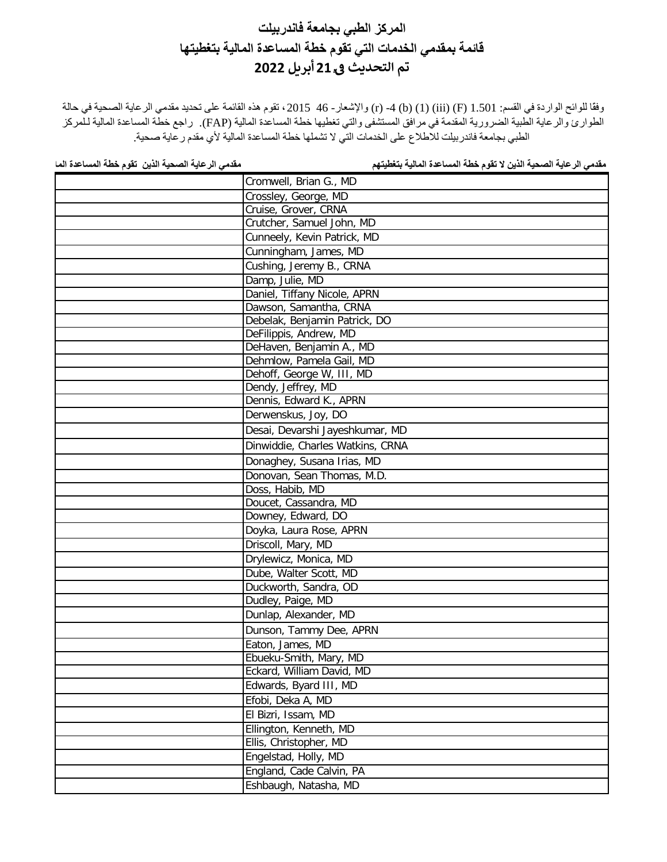وفقًا للوائح الواردة في القسم: 1.501 (F) (1) (iii) (f) 4 - (r) والإشعار - 46 ـ 2015 ، تقوم هذه القائمة على تحديد مقدمي الرعاية الصحية في حالة الطوارئ والرعایة الطبیة الضروریة المقدمة في مرافق المستشفى والتي تغطیھا خطة المساعدة المالیة (FAP(. راجع خطة المساعدة المالیة لـلمركز الطبي بجامعة فاندربیلت للاطلاع على الخدمات التي لا تشملھا خطة المساعدة المالیة لأي مقدم رعایة صحیة.

| Cromwell, Brian G., MD           |
|----------------------------------|
| Crossley, George, MD             |
| Cruise, Grover, CRNA             |
| Crutcher, Samuel John, MD        |
| Cunneely, Kevin Patrick, MD      |
| Cunningham, James, MD            |
| Cushing, Jeremy B., CRNA         |
| Damp, Julie, MD                  |
| Daniel, Tiffany Nicole, APRN     |
| Dawson, Samantha, CRNA           |
| Debelak, Benjamin Patrick, DO    |
| DeFilippis, Andrew, MD           |
| DeHaven, Benjamin A., MD         |
| Dehmlow, Pamela Gail, MD         |
| Dehoff, George W, III, MD        |
| Dendy, Jeffrey, MD               |
| Dennis, Edward K., APRN          |
| Derwenskus, Joy, DO              |
| Desai, Devarshi Jayeshkumar, MD  |
| Dinwiddie, Charles Watkins, CRNA |
| Donaghey, Susana Irias, MD       |
| Donovan, Sean Thomas, M.D.       |
| Doss, Habib, MD                  |
| Doucet, Cassandra, MD            |
| Downey, Edward, DO               |
| Doyka, Laura Rose, APRN          |
| Driscoll, Mary, MD               |
| Drylewicz, Monica, MD            |
| Dube, Walter Scott, MD           |
| Duckworth, Sandra, OD            |
| Dudley, Paige, MD                |
| Dunlap, Alexander, MD            |
| Dunson, Tammy Dee, APRN          |
| Eaton, James, MD                 |
| Ebueku-Smith, Mary, MD           |
| Eckard, William David, MD        |
| Edwards, Byard III, MD           |
| Efobi, Deka A, MD                |
| El Bizri, Issam, MD              |
| Ellington, Kenneth, MD           |
| Ellis, Christopher, MD           |
| Engelstad, Holly, MD             |
| England, Cade Calvin, PA         |
| Eshbaugh, Natasha, MD            |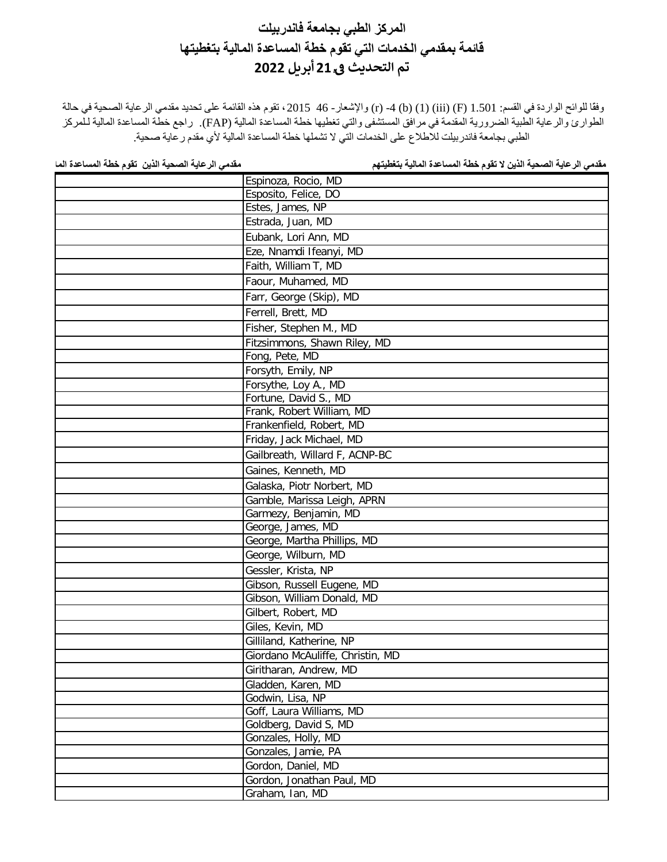وفقًا للوائح الواردة في القسم: 1.501 (F) (1) (iii) (f) 4 - (r) والإشعار - 46 ـ 2015 ، تقوم هذه القائمة على تحديد مقدمي الرعاية الصحية في حالة الطوارئ والرعایة الطبیة الضروریة المقدمة في مرافق المستشفى والتي تغطیھا خطة المساعدة المالیة (FAP(. راجع خطة المساعدة المالیة لـلمركز الطبي بجامعة فاندربیلت للاطلاع على الخدمات التي لا تشملھا خطة المساعدة المالیة لأي مقدم رعایة صحیة.

| Espinoza, Rocio, MD              |
|----------------------------------|
| Esposito, Felice, DO             |
| Estes, James, NP                 |
| Estrada, Juan, MD                |
| Eubank, Lori Ann, MD             |
| Eze, Nnamdi Ifeanyi, MD          |
| Faith, William T, MD             |
| Faour, Muhamed, MD               |
| Farr, George (Skip), MD          |
| Ferrell, Brett, MD               |
| Fisher, Stephen M., MD           |
| Fitzsimmons, Shawn Riley, MD     |
| Fong, Pete, MD                   |
| Forsyth, Emily, NP               |
| Forsythe, Loy A., MD             |
| Fortune, David S., MD            |
| Frank, Robert William, MD        |
| Frankenfield, Robert, MD         |
| Friday, Jack Michael, MD         |
| Gailbreath, Willard F, ACNP-BC   |
| Gaines, Kenneth, MD              |
| Galaska, Piotr Norbert, MD       |
| Gamble, Marissa Leigh, APRN      |
| Garmezy, Benjamin, MD            |
| George, James, MD                |
| George, Martha Phillips, MD      |
| George, Wilburn, MD              |
| Gessler, Krista, NP              |
| Gibson, Russell Eugene, MD       |
| Gibson, William Donald, MD       |
| Gilbert, Robert, MD              |
| Giles, Kevin, MD                 |
| Gilliland, Katherine, NP         |
| Giordano McAuliffe, Christin, MD |
| Giritharan, Andrew, MD           |
| Gladden, Karen, MD               |
| Godwin, Lisa, NP                 |
| Goff, Laura Williams, MD         |
| Goldberg, David S, MD            |
| Gonzales, Holly, MD              |
| Gonzales, Jamie, PA              |
| Gordon, Daniel, MD               |
| Gordon, Jonathan Paul, MD        |
| Graham, Ian, MD                  |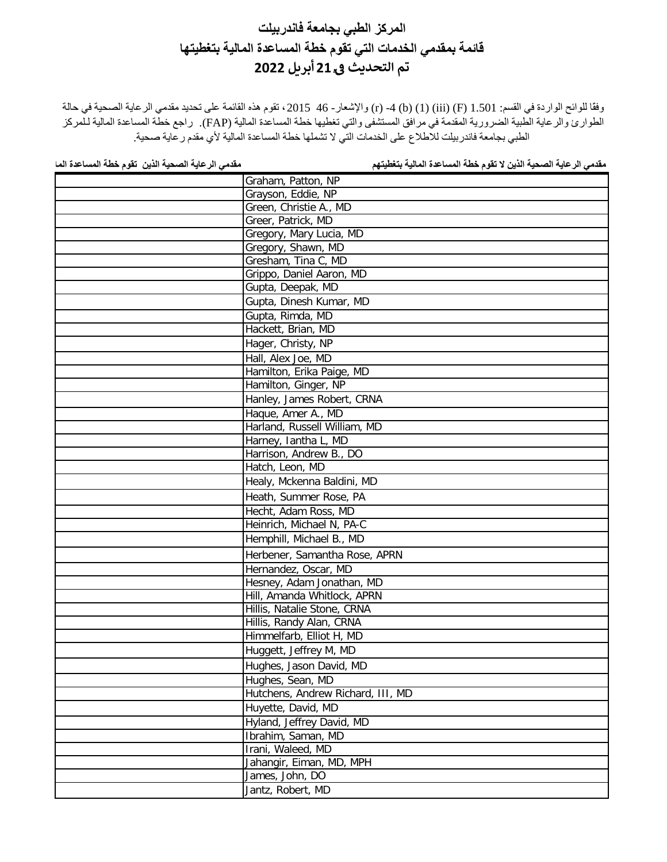وفقًا للوائح الواردة في القسم: 1.501 (F) (1) (iii) (f) 4 - (r) والإشعار - 46 ـ 2015 ، تقوم هذه القائمة على تحديد مقدمي الرعاية الصحية في حالة الطوارئ والرعایة الطبیة الضروریة المقدمة في مرافق المستشفى والتي تغطیھا خطة المساعدة المالیة (FAP(. راجع خطة المساعدة المالیة لـلمركز الطبي بجامعة فاندربیلت للاطلاع على الخدمات التي لا تشملھا خطة المساعدة المالیة لأي مقدم رعایة صحیة.

| Graham, Patton, NP                |
|-----------------------------------|
| Grayson, Eddie, NP                |
| Green, Christie A., MD            |
| Greer, Patrick, MD                |
| Gregory, Mary Lucia, MD           |
| Gregory, Shawn, MD                |
| Gresham, Tina C, MD               |
| Grippo, Daniel Aaron, MD          |
| Gupta, Deepak, MD                 |
| Gupta, Dinesh Kumar, MD           |
| Gupta, Rimda, MD                  |
| Hackett, Brian, MD                |
| Hager, Christy, NP                |
| Hall, Alex Joe, MD                |
| Hamilton, Erika Paige, MD         |
| Hamilton, Ginger, NP              |
| Hanley, James Robert, CRNA        |
| Haque, Amer A., MD                |
| Harland, Russell William, MD      |
| Harney, lantha L, MD              |
| Harrison, Andrew B., DO           |
| Hatch, Leon, MD                   |
| Healy, Mckenna Baldini, MD        |
| Heath, Summer Rose, PA            |
| Hecht, Adam Ross, MD              |
| Heinrich, Michael N, PA-C         |
| Hemphill, Michael B., MD          |
| Herbener, Samantha Rose, APRN     |
| Hernandez, Oscar, MD              |
| Hesney, Adam Jonathan, MD         |
| Hill, Amanda Whitlock, APRN       |
| Hillis, Natalie Stone, CRNA       |
| Hillis, Randy Alan, CRNA          |
| Himmelfarb, Elliot H, MD          |
| Huggett, Jeffrey M, MD            |
| Hughes, Jason David, MD           |
| Hughes, Sean, MD                  |
| Hutchens, Andrew Richard, III, MD |
| Huyette, David, MD                |
| Hyland, Jeffrey David, MD         |
| Ibrahim, Saman, MD                |
| Irani, Waleed, MD                 |
| Jahangir, Eiman, MD, MPH          |
| James, John, DO                   |
| Jantz, Robert, MD                 |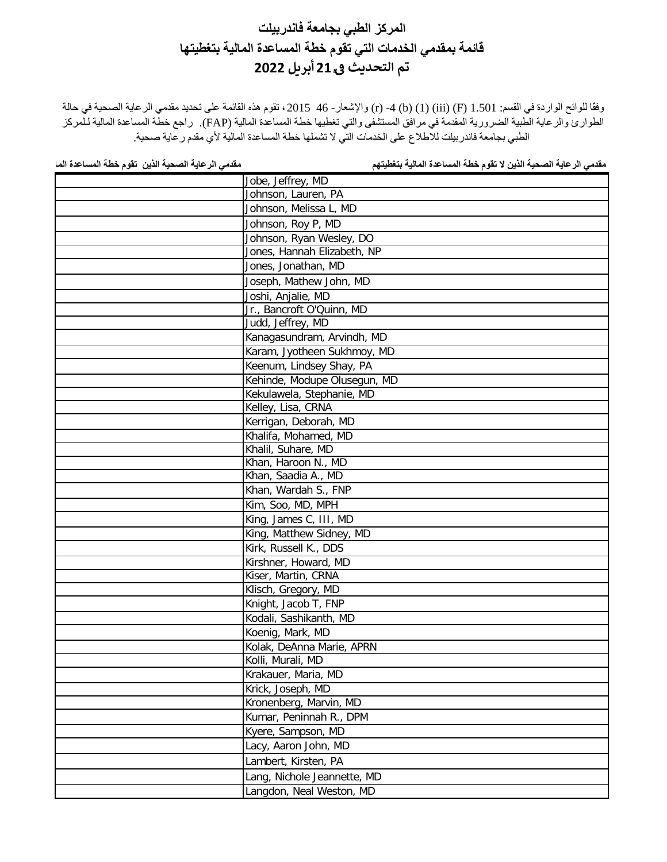وفقًا للوائح الواردة في القسم: 1.501 (F) (1) (iii) (f) 4 - (r) والإشعار - 46 ـ 2015 ، تقوم هذه القائمة على تحديد مقدمي الرعاية الصحية في حالة الطوارئ والرعایة الطبیة الضروریة المقدمة في مرافق المستشفى والتي تغطیھا خطة المساعدة المالیة (FAP(. راجع خطة المساعدة المالیة لـلمركز الطبي بجامعة فاندربیلت للاطلاع على الخدمات التي لا تشملھا خطة المساعدة المالیة لأي مقدم رعایة صحیة.

| Jobe, Jeffrey, MD            |
|------------------------------|
| Johnson, Lauren, PA          |
| Johnson, Melissa L, MD       |
| Johnson, Roy P, MD           |
| Johnson, Ryan Wesley, DO     |
| Jones, Hannah Elizabeth, NP  |
| Jones, Jonathan, MD          |
| Joseph, Mathew John, MD      |
| Joshi, Anjalie, MD           |
| Jr., Bancroft O'Quinn, MD    |
| Judd, Jeffrey, MD            |
| Kanagasundram, Arvindh, MD   |
| Karam, Jyotheen Sukhmoy, MD  |
| Keenum, Lindsey Shay, PA     |
| Kehinde, Modupe Olusegun, MD |
| Kekulawela, Stephanie, MD    |
| Kelley, Lisa, CRNA           |
| Kerrigan, Deborah, MD        |
| Khalifa, Mohamed, MD         |
| Khalil, Suhare, MD           |
| Khan, Haroon N., MD          |
| Khan, Saadia A., MD          |
| Khan, Wardah S., FNP         |
| Kim, Soo, MD, MPH            |
| King, James C, III, MD       |
| King, Matthew Sidney, MD     |
| Kirk, Russell K., DDS        |
| Kirshner, Howard, MD         |
| Kiser, Martin, CRNA          |
| Klisch, Gregory, MD          |
| Knight, Jacob T, FNP         |
| Kodali, Sashikanth, MD       |
| Koenig, Mark, MD             |
| Kolak, DeAnna Marie, APRN    |
| Kolli, Murali, MD            |
| Krakauer, Maria, MD          |
| Krick, Joseph, MD            |
| Kronenberg, Marvin, MD       |
| Kumar, Peninnah R., DPM      |
| Kyere, Sampson, MD           |
| Lacy, Aaron John, MD         |
| Lambert, Kirsten, PA         |
| Lang, Nichole Jeannette, MD  |
| Langdon, Neal Weston, MD     |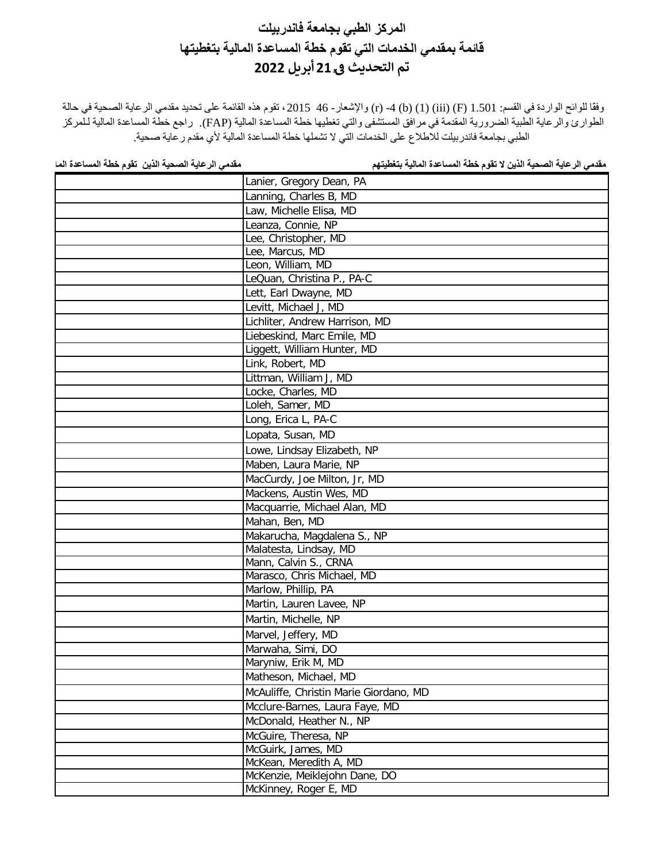وفقًا للوائح الواردة في القسم: 1.501 (F) (1) (iii) (f) 4 - (r) والإشعار - 46 ـ 2015 ، تقوم هذه القائمة على تحديد مقدمي الرعاية الصحية في حالة الطوارئ والرعایة الطبیة الضروریة المقدمة في مرافق المستشفى والتي تغطیھا خطة المساعدة المالیة (FAP(. راجع خطة المساعدة المالیة لـلمركز الطبي بجامعة فاندربیلت للاطلاع على الخدمات التي لا تشملھا خطة المساعدة المالیة لأي مقدم رعایة صحیة.

| Lanier, Gregory Dean, PA               |
|----------------------------------------|
| Lanning, Charles B, MD                 |
| Law, Michelle Elisa, MD                |
| Leanza, Connie, NP                     |
| Lee, Christopher, MD                   |
| Lee, Marcus, MD                        |
| Leon, William, MD                      |
| LeQuan, Christina P., PA-C             |
| Lett, Earl Dwayne, MD                  |
| Levitt, Michael J, MD                  |
| Lichliter, Andrew Harrison, MD         |
| Liebeskind, Marc Emile, MD             |
| Liggett, William Hunter, MD            |
| Link, Robert, MD                       |
| Littman, William J, MD                 |
| Locke, Charles, MD                     |
| Loleh, Samer, MD                       |
| Long, Erica L, PA-C                    |
| Lopata, Susan, MD                      |
| Lowe, Lindsay Elizabeth, NP            |
| Maben, Laura Marie, NP                 |
| MacCurdy, Joe Milton, Jr, MD           |
| Mackens, Austin Wes, MD                |
| Macquarrie, Michael Alan, MD           |
| Mahan, Ben, MD                         |
| Makarucha, Magdalena S., NP            |
| Malatesta, Lindsay, MD                 |
| Mann, Calvin S., CRNA                  |
| Marasco, Chris Michael, MD             |
| Marlow, Phillip, PA                    |
| Martin, Lauren Lavee, NP               |
| Martin, Michelle, NP                   |
| Marvel, Jeffery, MD                    |
| Marwaha, Simi, DO                      |
| Maryniw, Erik M, MD                    |
| Matheson, Michael, MD                  |
| McAuliffe, Christin Marie Giordano, MD |
| Mcclure-Barnes, Laura Faye, MD         |
| McDonald, Heather N., NP               |
| McGuire, Theresa, NP                   |
| McGuirk, James, MD                     |
| McKean, Meredith A, MD                 |
| McKenzie, Meiklejohn Dane, DO          |
| McKinney, Roger E, MD                  |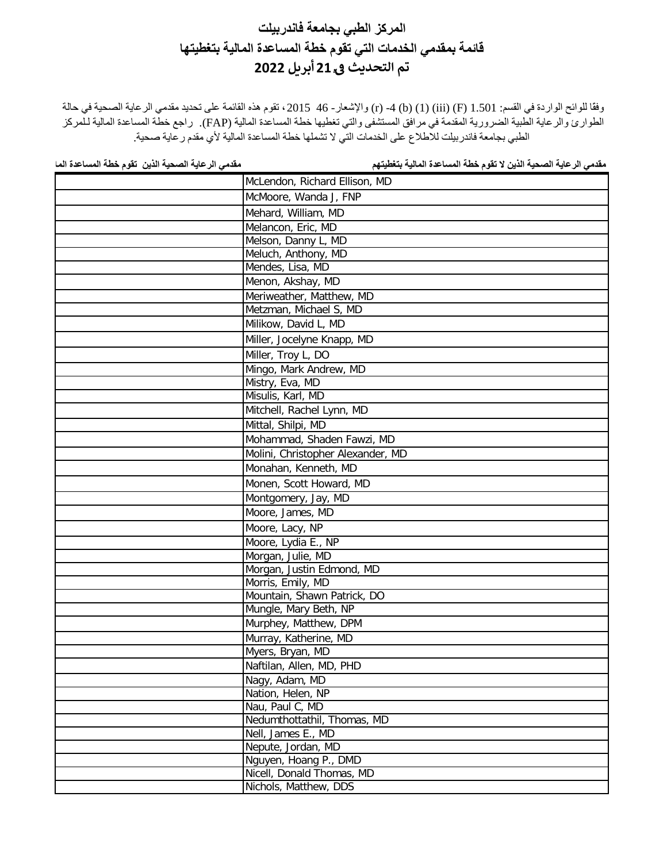وفقًا للوائح الواردة في القسم: 1.501 (F) (1) (iii) (f) 4 - (r) والإشعار - 46 ـ 2015 ، تقوم هذه القائمة على تحديد مقدمي الرعاية الصحية في حالة الطوارئ والرعایة الطبیة الضروریة المقدمة في مرافق المستشفى والتي تغطیھا خطة المساعدة المالیة (FAP(. راجع خطة المساعدة المالیة لـلمركز الطبي بجامعة فاندربیلت للاطلاع على الخدمات التي لا تشملھا خطة المساعدة المالیة لأي مقدم رعایة صحیة.

| McLendon, Richard Ellison, MD     |
|-----------------------------------|
| McMoore, Wanda J, FNP             |
| Mehard, William, MD               |
| Melancon, Eric, MD                |
| Melson, Danny L, MD               |
| Meluch, Anthony, MD               |
| Mendes, Lisa, MD                  |
| Menon, Akshay, MD                 |
| Meriweather, Matthew, MD          |
| Metzman, Michael S, MD            |
| Milikow, David L, MD              |
| Miller, Jocelyne Knapp, MD        |
| Miller, Troy L, DO                |
| Mingo, Mark Andrew, MD            |
| Mistry, Eva, MD                   |
| Misulis, Karl, MD                 |
| Mitchell, Rachel Lynn, MD         |
| Mittal, Shilpi, MD                |
| Mohammad, Shaden Fawzi, MD        |
| Molini, Christopher Alexander, MD |
| Monahan, Kenneth, MD              |
| Monen, Scott Howard, MD           |
| Montgomery, Jay, MD               |
| Moore, James, MD                  |
| Moore, Lacy, NP                   |
| Moore, Lydia E., NP               |
| Morgan, Julie, MD                 |
| Morgan, Justin Edmond, MD         |
| Morris, Emily, MD                 |
| Mountain, Shawn Patrick, DO       |
| Mungle, Mary Beth, NP             |
| Murphey, Matthew, DPM             |
| Murray, Katherine, MD             |
| Myers, Bryan, MD                  |
| Naftilan, Allen, MD, PHD          |
| Nagy, Adam, MD                    |
| Nation, Helen, NP                 |
| Nau, Paul C, MD                   |
| Nedumthottathil, Thomas, MD       |
| Nell, James E., MD                |
| Nepute, Jordan, MD                |
| Nguyen, Hoang P., DMD             |
| Nicell, Donald Thomas, MD         |
| Nichols, Matthew, DDS             |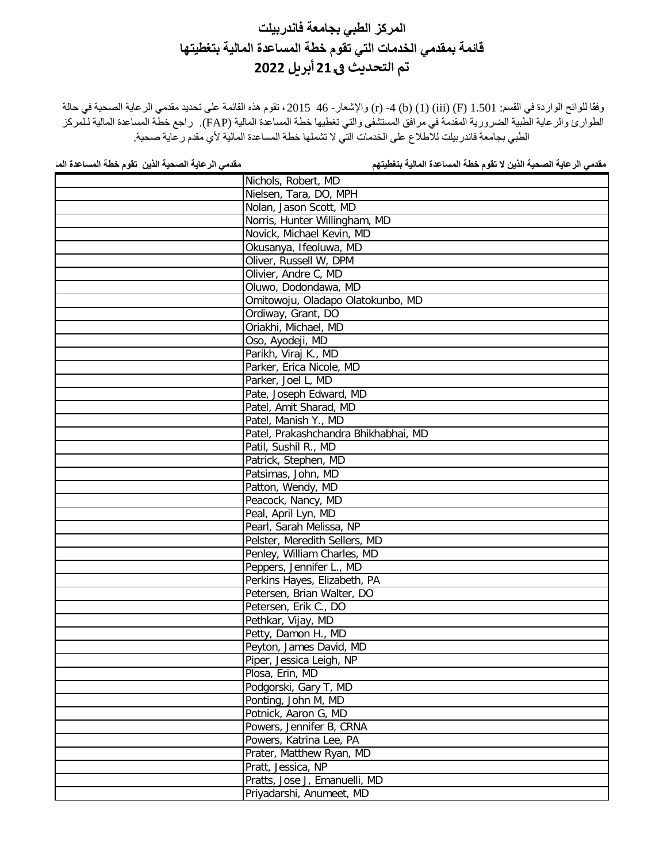وفقًا للوائح الواردة في القسم: 1.501 (F) (1) (iii) (f) 4 - (r) والإشعار - 46 ـ 2015 ، تقوم هذه القائمة على تحديد مقدمي الرعاية الصحية في حالة الطوارئ والرعایة الطبیة الضروریة المقدمة في مرافق المستشفى والتي تغطیھا خطة المساعدة المالیة (FAP(. راجع خطة المساعدة المالیة لـلمركز الطبي بجامعة فاندربیلت للاطلاع على الخدمات التي لا تشملھا خطة المساعدة المالیة لأي مقدم رعایة صحیة.

| Nichols, Robert, MD                  |
|--------------------------------------|
| Nielsen, Tara, DO, MPH               |
| Nolan, Jason Scott, MD               |
| Norris, Hunter Willingham, MD        |
| Novick, Michael Kevin, MD            |
| Okusanya, Ifeoluwa, MD               |
| Oliver, Russell W, DPM               |
| Olivier, Andre C, MD                 |
| Oluwo, Dodondawa, MD                 |
| Omitowoju, Oladapo Olatokunbo, MD    |
| Ordiway, Grant, DO                   |
| Oriakhi, Michael, MD                 |
| Oso, Ayodeji, MD                     |
| Parikh, Viraj K., MD                 |
| Parker, Erica Nicole, MD             |
| Parker, Joel L, MD                   |
| Pate, Joseph Edward, MD              |
| Patel, Amit Sharad, MD               |
| Patel, Manish Y., MD                 |
| Patel, Prakashchandra Bhikhabhai, MD |
| Patil, Sushil R., MD                 |
| Patrick, Stephen, MD                 |
| Patsimas, John, MD                   |
| Patton, Wendy, MD                    |
| Peacock, Nancy, MD                   |
| Peal, April Lyn, MD                  |
| Pearl, Sarah Melissa, NP             |
| Pelster, Meredith Sellers, MD        |
| Penley, William Charles, MD          |
| Peppers, Jennifer L., MD             |
| Perkins Hayes, Elizabeth, PA         |
| Petersen, Brian Walter, DO           |
| Petersen, Erik C., DO                |
| Pethkar, Vijay, MD                   |
| Petty, Damon H., MD                  |
| Peyton, James David, MD              |
| Piper, Jessica Leigh, NP             |
| Plosa, Erin, MD                      |
| Podgorski, Gary T, MD                |
| Ponting, John M, MD                  |
| Potnick, Aaron G, MD                 |
| Powers, Jennifer B, CRNA             |
| Powers, Katrina Lee, PA              |
| Prater, Matthew Ryan, MD             |
| Pratt, Jessica, NP                   |
| Pratts, Jose J, Emanuelli, MD        |
| Priyadarshi, Anumeet, MD             |